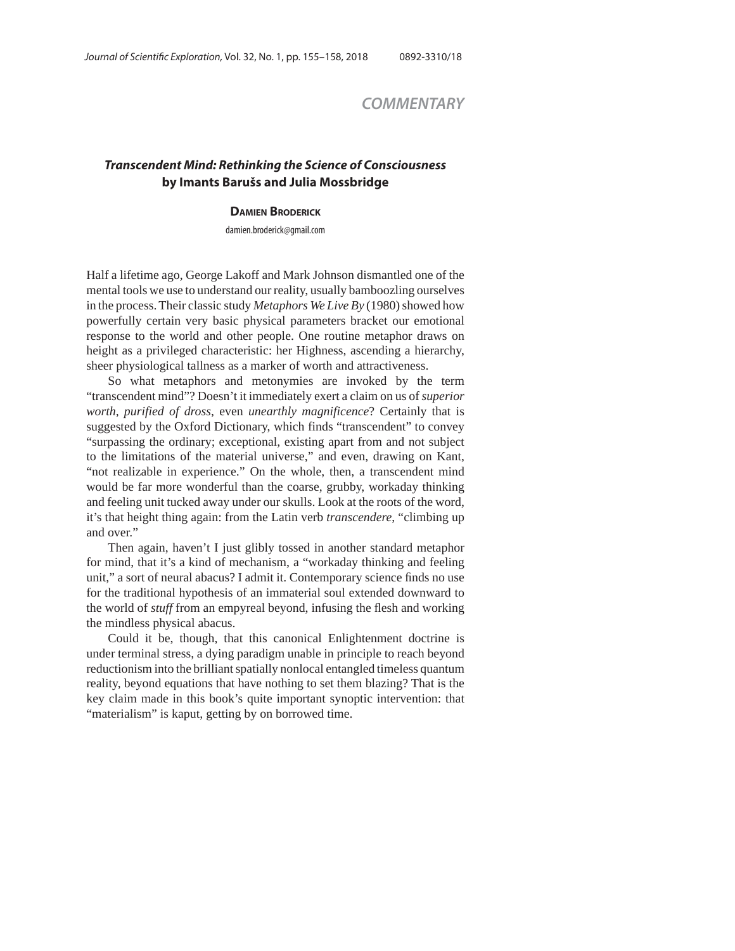## *COMMENTARY*

## *Transcendent Mind: Rethinking the Science of Consciousness* **by Imants Barušs and Julia Mossbridge**

## **DAMIEN BRODERICK**

damien.broderick@gmail.com

Half a lifetime ago, George Lakoff and Mark Johnson dismantled one of the mental tools we use to understand our reality, usually bamboozling ourselves in the process. Their classic study *Metaphors We Live By* (1980) showed how powerfully certain very basic physical parameters bracket our emotional response to the world and other people. One routine metaphor draws on height as a privileged characteristic: her Highness, ascending a hierarchy, sheer physiological tallness as a marker of worth and attractiveness.

So what metaphors and metonymies are invoked by the term "transcendent mind"? Doesn't it immediately exert a claim on us of *superior worth*, *purified of dross*, even *unearthly magnificence*? Certainly that is suggested by the Oxford Dictionary, which finds "transcendent" to convey "surpassing the ordinary; exceptional, existing apart from and not subject to the limitations of the material universe," and even, drawing on Kant, "not realizable in experience." On the whole, then, a transcendent mind would be far more wonderful than the coarse, grubby, workaday thinking and feeling unit tucked away under our skulls. Look at the roots of the word, it's that height thing again: from the Latin verb *transcendere*, "climbing up and over."

Then again, haven't I just glibly tossed in another standard metaphor for mind, that it's a kind of mechanism, a "workaday thinking and feeling unit," a sort of neural abacus? I admit it. Contemporary science finds no use for the traditional hypothesis of an immaterial soul extended downward to the world of *stuff* from an empyreal beyond, infusing the flesh and working the mindless physical abacus.

Could it be, though, that this canonical Enlightenment doctrine is under terminal stress, a dying paradigm unable in principle to reach beyond reductionism into the brilliant spatially nonlocal entangled timeless quantum reality, beyond equations that have nothing to set them blazing? That is the key claim made in this book's quite important synoptic intervention: that "materialism" is kaput, getting by on borrowed time.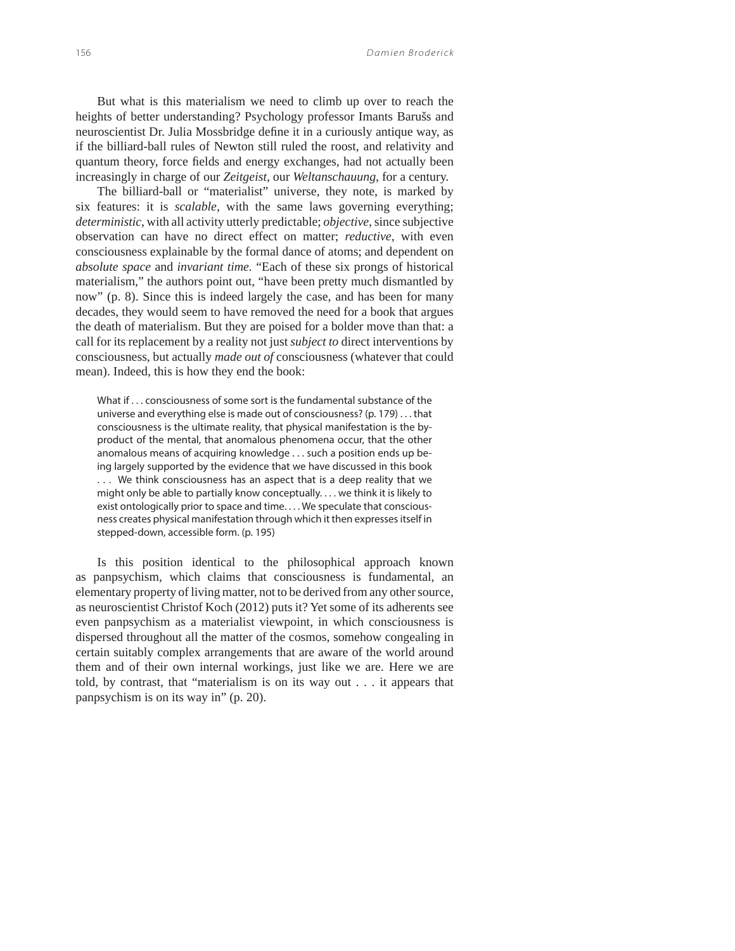But what is this materialism we need to climb up over to reach the heights of better understanding? Psychology professor Imants Barušs and neuroscientist Dr. Julia Mossbridge define it in a curiously antique way, as if the billiard-ball rules of Newton still ruled the roost, and relativity and quantum theory, force fields and energy exchanges, had not actually been increasingly in charge of our *Zeitgeist*, our *Weltanschauung*, for a century.

The billiard-ball or "materialist" universe, they note, is marked by six features: it is *scalable*, with the same laws governing everything; *deterministic*, with all activity utterly predictable; *objective*, since subjective observation can have no direct effect on matter; *reductive,* with even consciousness explainable by the formal dance of atoms; and dependent on *absolute space* and *invariant time.* "Each of these six prongs of historical materialism," the authors point out, "have been pretty much dismantled by now" (p. 8). Since this is indeed largely the case, and has been for many decades, they would seem to have removed the need for a book that argues the death of materialism. But they are poised for a bolder move than that: a call for its replacement by a reality not just *subject to* direct interventions by consciousness, but actually *made out of* consciousness (whatever that could mean). Indeed, this is how they end the book:

What if . . . consciousness of some sort is the fundamental substance of the universe and everything else is made out of consciousness? (p. 179) . . . that consciousness is the ultimate reality, that physical manifestation is the byproduct of the mental, that anomalous phenomena occur, that the other anomalous means of acquiring knowledge . . . such a position ends up being largely supported by the evidence that we have discussed in this book . . . We think consciousness has an aspect that is a deep reality that we might only be able to partially know conceptually. . . . we think it is likely to exist ontologically prior to space and time. . . . We speculate that consciousness creates physical manifestation through which it then expresses itself in stepped-down, accessible form. (p. 195)

Is this position identical to the philosophical approach known as panpsychism, which claims that consciousness is fundamental, an elementary property of living matter, not to be derived from any other source, as neuroscientist Christof Koch (2012) puts it? Yet some of its adherents see even panpsychism as a materialist viewpoint, in which consciousness is dispersed throughout all the matter of the cosmos, somehow congealing in certain suitably complex arrangements that are aware of the world around them and of their own internal workings, just like we are. Here we are told, by contrast, that "materialism is on its way out . . . it appears that panpsychism is on its way in" (p. 20).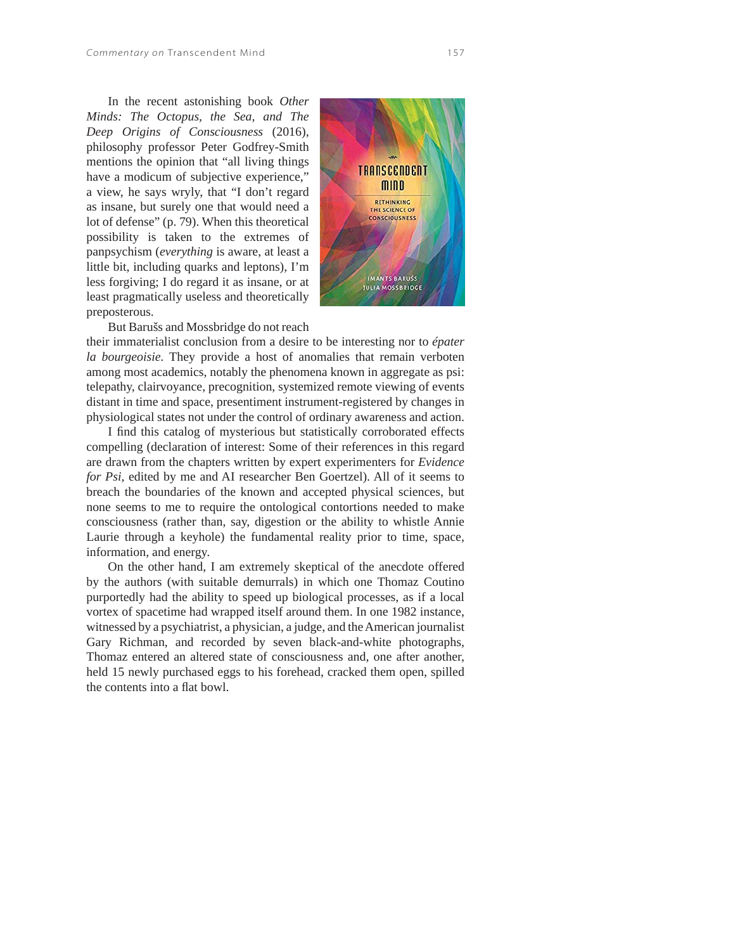In the recent astonishing book *Other Minds: The Octopus, the Sea, and The Deep Origins of Consciousness* (2016), philosophy professor Peter Godfrey-Smith mentions the opinion that "all living things have a modicum of subjective experience," a view, he says wryly, that "I don't regard as insane, but surely one that would need a lot of defense" (p. 79). When this theoretical possibility is taken to the extremes of panpsychism (*everything* is aware, at least a little bit, including quarks and leptons), I'm less forgiving; I do regard it as insane, or at least pragmatically useless and theoretically preposterous.



But Barušs and Mossbridge do not reach

their immaterialist conclusion from a desire to be interesting nor to *épater la bourgeoisie.* They provide a host of anomalies that remain verboten among most academics, notably the phenomena known in aggregate as psi: telepathy, clairvoyance, precognition, systemized remote viewing of events distant in time and space, presentiment instrument-registered by changes in physiological states not under the control of ordinary awareness and action.

I find this catalog of mysterious but statistically corroborated effects compelling (declaration of interest: Some of their references in this regard are drawn from the chapters written by expert experimenters for *Evidence for Psi*, edited by me and AI researcher Ben Goertzel). All of it seems to breach the boundaries of the known and accepted physical sciences, but none seems to me to require the ontological contortions needed to make consciousness (rather than, say, digestion or the ability to whistle Annie Laurie through a keyhole) the fundamental reality prior to time, space, information, and energy.

On the other hand, I am extremely skeptical of the anecdote offered by the authors (with suitable demurrals) in which one Thomaz Coutino purportedly had the ability to speed up biological processes, as if a local vortex of spacetime had wrapped itself around them. In one 1982 instance, witnessed by a psychiatrist, a physician, a judge, and the American journalist Gary Richman, and recorded by seven black-and-white photographs, Thomaz entered an altered state of consciousness and, one after another, held 15 newly purchased eggs to his forehead, cracked them open, spilled the contents into a flat bowl.